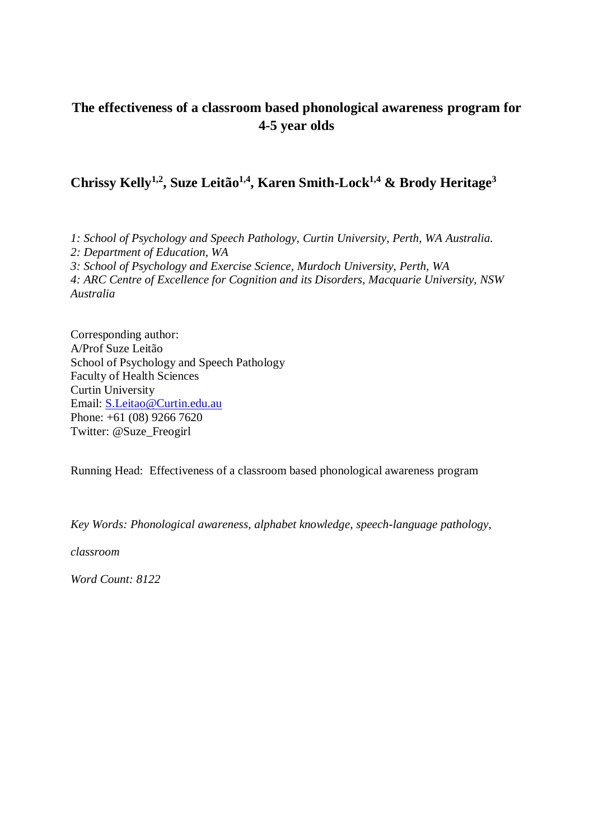# **The effectiveness of a classroom based phonological awareness program for 4-5 year olds**

# **Chrissy Kelly1,2, Suze Leitão1,4, Karen Smith-Lock1,4 & Brody Heritage<sup>3</sup>**

*1: School of Psychology and Speech Pathology, Curtin University, Perth, WA Australia. 2: Department of Education, WA 3: School of Psychology and Exercise Science, Murdoch University, Perth, WA 4: ARC Centre of Excellence for Cognition and its Disorders, Macquarie University, NSW Australia*

Corresponding author: A/Prof Suze Leitão School of Psychology and Speech Pathology Faculty of Health Sciences Curtin University Email: [S.Leitao@Curtin.edu.au](mailto:mark.boyes@curtin.edu.au) Phone: +61 (08) 9266 7620 Twitter: @Suze\_Freogirl

Running Head: Effectiveness of a classroom based phonological awareness program

*Key Words: Phonological awareness, alphabet knowledge, speech-language pathology,* 

*classroom*

*Word Count: 8122*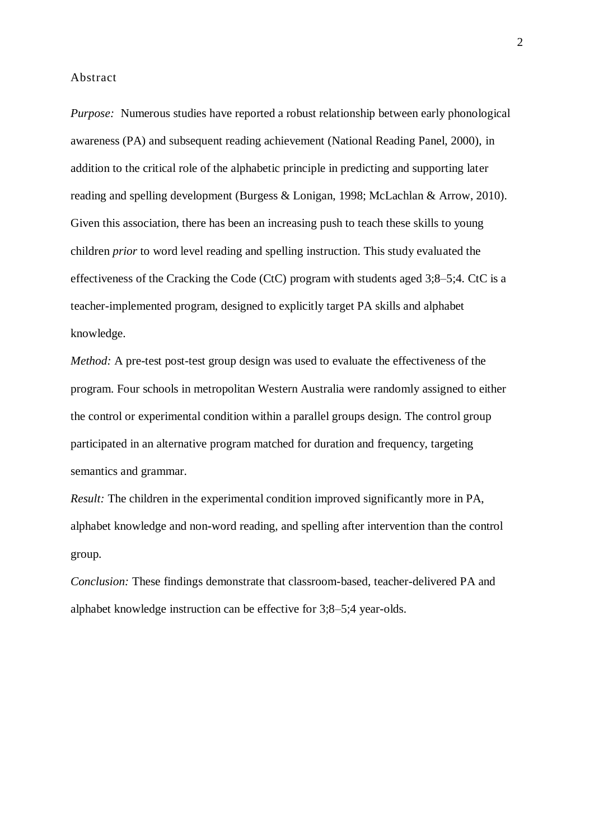#### Abstract

*Purpose:* Numerous studies have reported a robust relationship between early phonological awareness (PA) and subsequent reading achievement (National Reading Panel, 2000), in addition to the critical role of the alphabetic principle in predicting and supporting later reading and spelling development (Burgess & Lonigan, 1998; McLachlan & Arrow, 2010). Given this association, there has been an increasing push to teach these skills to young children *prior* to word level reading and spelling instruction. This study evaluated the effectiveness of the Cracking the Code (CtC) program with students aged 3;8–5;4. CtC is a teacher-implemented program, designed to explicitly target PA skills and alphabet knowledge.

*Method:* A pre-test post-test group design was used to evaluate the effectiveness of the program. Four schools in metropolitan Western Australia were randomly assigned to either the control or experimental condition within a parallel groups design. The control group participated in an alternative program matched for duration and frequency, targeting semantics and grammar.

*Result:* The children in the experimental condition improved significantly more in PA, alphabet knowledge and non-word reading, and spelling after intervention than the control group.

*Conclusion:* These findings demonstrate that classroom-based, teacher-delivered PA and alphabet knowledge instruction can be effective for 3;8–5;4 year-olds.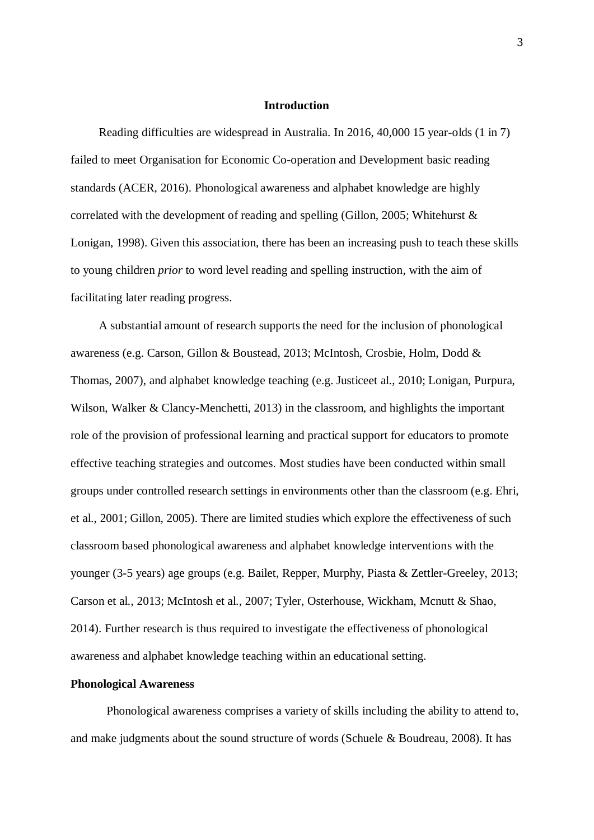### **Introduction**

Reading difficulties are widespread in Australia. In 2016, 40,000 15 year-olds (1 in 7) failed to meet Organisation for Economic Co-operation and Development basic reading standards (ACER, 2016). Phonological awareness and alphabet knowledge are highly correlated with the development of reading and spelling (Gillon, 2005; Whitehurst & Lonigan, 1998). Given this association, there has been an increasing push to teach these skills to young children *prior* to word level reading and spelling instruction, with the aim of facilitating later reading progress.

A substantial amount of research supports the need for the inclusion of phonological awareness (e.g. Carson, Gillon & Boustead, 2013; McIntosh, Crosbie, Holm, Dodd & Thomas, 2007), and alphabet knowledge teaching (e.g. Justiceet al., 2010; Lonigan, Purpura, Wilson, Walker & Clancy-Menchetti, 2013) in the classroom, and highlights the important role of the provision of professional learning and practical support for educators to promote effective teaching strategies and outcomes. Most studies have been conducted within small groups under controlled research settings in environments other than the classroom (e.g. Ehri, et al., 2001; Gillon, 2005). There are limited studies which explore the effectiveness of such classroom based phonological awareness and alphabet knowledge interventions with the younger (3-5 years) age groups (e.g. Bailet, Repper, Murphy, Piasta & Zettler-Greeley, 2013; Carson et al., 2013; McIntosh et al., 2007; Tyler, Osterhouse, Wickham, Mcnutt & Shao, 2014). Further research is thus required to investigate the effectiveness of phonological awareness and alphabet knowledge teaching within an educational setting.

## **Phonological Awareness**

Phonological awareness comprises a variety of skills including the ability to attend to, and make judgments about the sound structure of words (Schuele & Boudreau, 2008). It has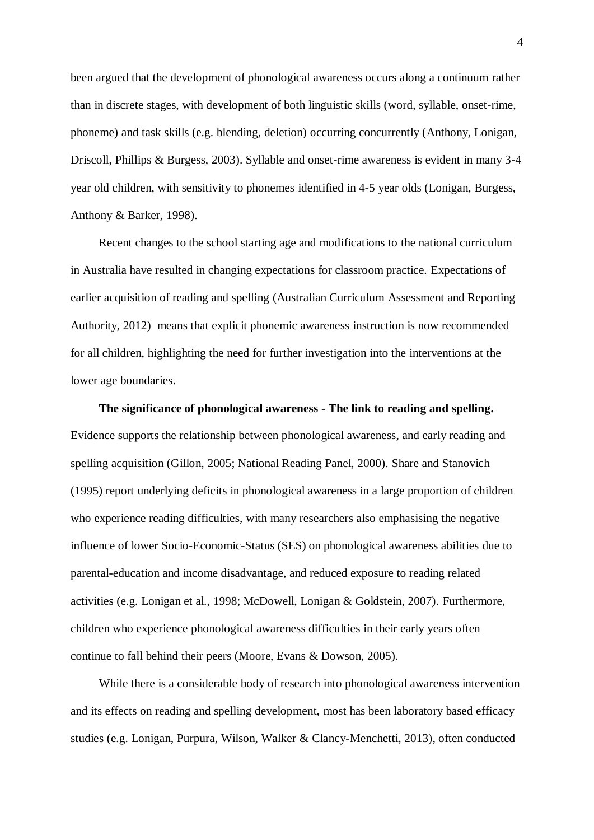been argued that the development of phonological awareness occurs along a continuum rather than in discrete stages, with development of both linguistic skills (word, syllable, onset-rime, phoneme) and task skills (e.g. blending, deletion) occurring concurrently (Anthony, Lonigan, Driscoll, Phillips & Burgess, 2003). Syllable and onset-rime awareness is evident in many 3-4 year old children, with sensitivity to phonemes identified in 4-5 year olds (Lonigan, Burgess, Anthony & Barker, 1998).

Recent changes to the school starting age and modifications to the national curriculum in Australia have resulted in changing expectations for classroom practice. Expectations of earlier acquisition of reading and spelling (Australian Curriculum Assessment and Reporting Authority, 2012) means that explicit phonemic awareness instruction is now recommended for all children, highlighting the need for further investigation into the interventions at the lower age boundaries.

**The significance of phonological awareness - The link to reading and spelling.** Evidence supports the relationship between phonological awareness, and early reading and spelling acquisition (Gillon, 2005; National Reading Panel, 2000). Share and Stanovich (1995) report underlying deficits in phonological awareness in a large proportion of children who experience reading difficulties, with many researchers also emphasising the negative influence of lower Socio-Economic-Status (SES) on phonological awareness abilities due to parental-education and income disadvantage, and reduced exposure to reading related activities (e.g. Lonigan et al., 1998; McDowell, Lonigan & Goldstein, 2007). Furthermore, children who experience phonological awareness difficulties in their early years often continue to fall behind their peers (Moore, Evans & Dowson, 2005).

While there is a considerable body of research into phonological awareness intervention and its effects on reading and spelling development, most has been laboratory based efficacy studies (e.g. Lonigan, Purpura, Wilson, Walker & Clancy-Menchetti, 2013), often conducted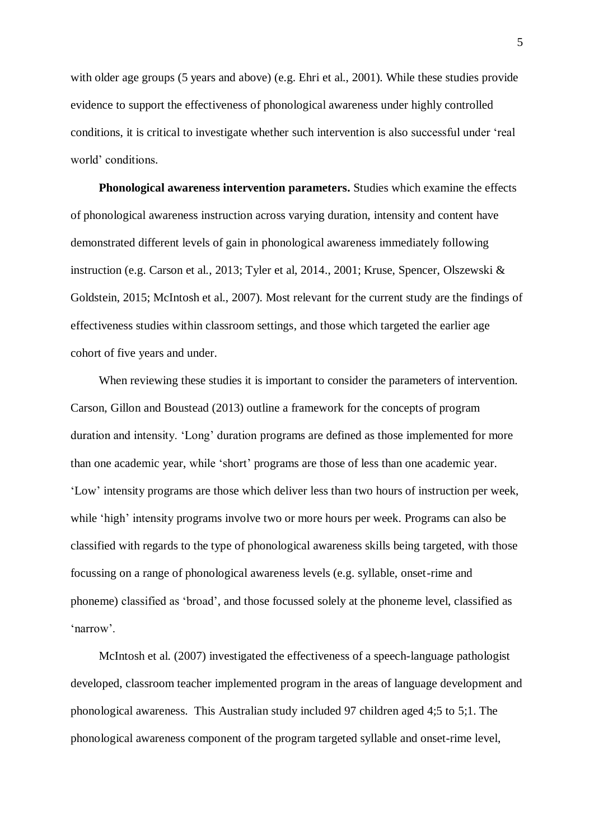with older age groups (5 years and above) (e.g. Ehri et al., 2001). While these studies provide evidence to support the effectiveness of phonological awareness under highly controlled conditions, it is critical to investigate whether such intervention is also successful under 'real world' conditions.

**Phonological awareness intervention parameters.** Studies which examine the effects of phonological awareness instruction across varying duration, intensity and content have demonstrated different levels of gain in phonological awareness immediately following instruction (e.g. Carson et al., 2013; Tyler et al, 2014., 2001; Kruse, Spencer, Olszewski & Goldstein, 2015; McIntosh et al., 2007). Most relevant for the current study are the findings of effectiveness studies within classroom settings, and those which targeted the earlier age cohort of five years and under.

When reviewing these studies it is important to consider the parameters of intervention. Carson, Gillon and Boustead (2013) outline a framework for the concepts of program duration and intensity. 'Long' duration programs are defined as those implemented for more than one academic year, while 'short' programs are those of less than one academic year. 'Low' intensity programs are those which deliver less than two hours of instruction per week, while 'high' intensity programs involve two or more hours per week. Programs can also be classified with regards to the type of phonological awareness skills being targeted, with those focussing on a range of phonological awareness levels (e.g. syllable, onset-rime and phoneme) classified as 'broad', and those focussed solely at the phoneme level, classified as 'narrow'.

McIntosh et al. (2007) investigated the effectiveness of a speech-language pathologist developed, classroom teacher implemented program in the areas of language development and phonological awareness. This Australian study included 97 children aged 4;5 to 5;1. The phonological awareness component of the program targeted syllable and onset-rime level,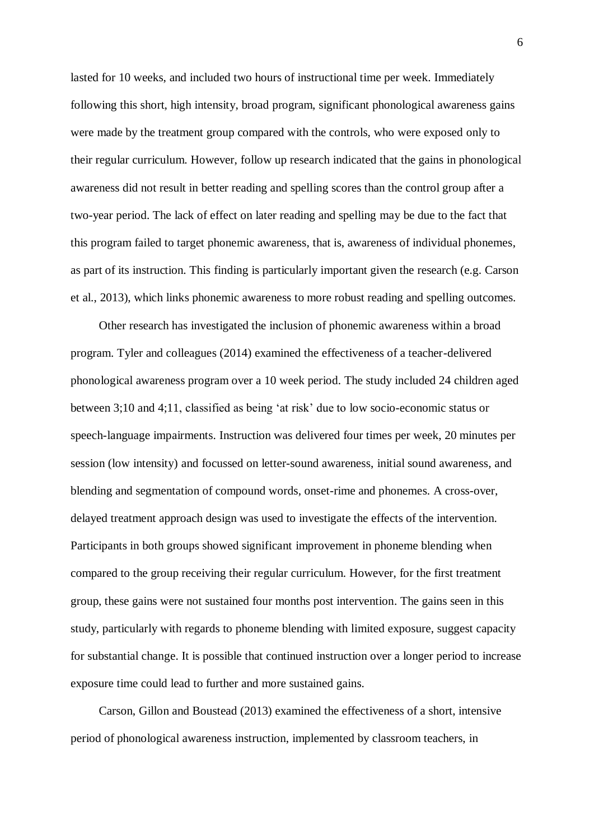lasted for 10 weeks, and included two hours of instructional time per week. Immediately following this short, high intensity, broad program, significant phonological awareness gains were made by the treatment group compared with the controls, who were exposed only to their regular curriculum. However, follow up research indicated that the gains in phonological awareness did not result in better reading and spelling scores than the control group after a two-year period. The lack of effect on later reading and spelling may be due to the fact that this program failed to target phonemic awareness, that is, awareness of individual phonemes, as part of its instruction. This finding is particularly important given the research (e.g. Carson et al., 2013), which links phonemic awareness to more robust reading and spelling outcomes.

Other research has investigated the inclusion of phonemic awareness within a broad program. Tyler and colleagues (2014) examined the effectiveness of a teacher-delivered phonological awareness program over a 10 week period. The study included 24 children aged between 3;10 and 4;11, classified as being 'at risk' due to low socio-economic status or speech-language impairments. Instruction was delivered four times per week, 20 minutes per session (low intensity) and focussed on letter-sound awareness, initial sound awareness, and blending and segmentation of compound words, onset-rime and phonemes. A cross-over, delayed treatment approach design was used to investigate the effects of the intervention. Participants in both groups showed significant improvement in phoneme blending when compared to the group receiving their regular curriculum. However, for the first treatment group, these gains were not sustained four months post intervention. The gains seen in this study, particularly with regards to phoneme blending with limited exposure, suggest capacity for substantial change. It is possible that continued instruction over a longer period to increase exposure time could lead to further and more sustained gains.

Carson, Gillon and Boustead (2013) examined the effectiveness of a short, intensive period of phonological awareness instruction, implemented by classroom teachers, in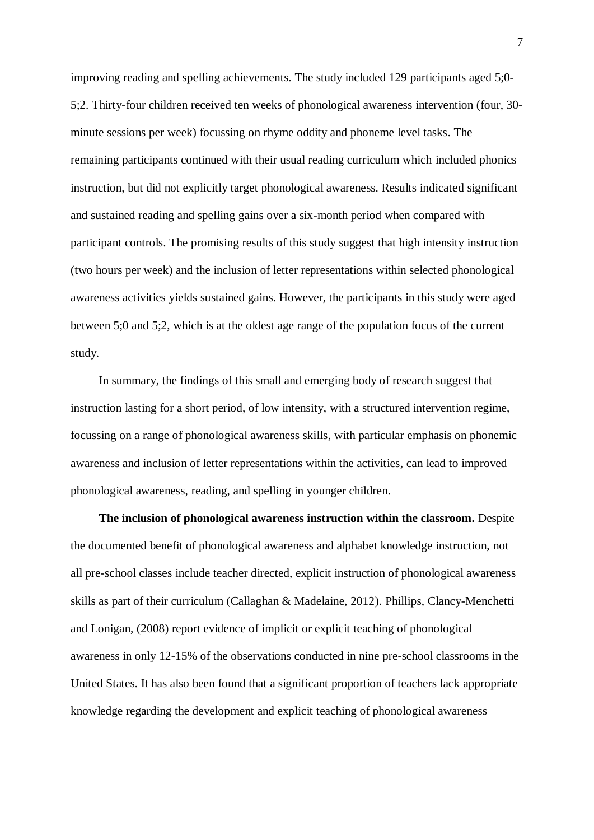improving reading and spelling achievements. The study included 129 participants aged 5;0- 5;2. Thirty-four children received ten weeks of phonological awareness intervention (four, 30 minute sessions per week) focussing on rhyme oddity and phoneme level tasks. The remaining participants continued with their usual reading curriculum which included phonics instruction, but did not explicitly target phonological awareness. Results indicated significant and sustained reading and spelling gains over a six-month period when compared with participant controls. The promising results of this study suggest that high intensity instruction (two hours per week) and the inclusion of letter representations within selected phonological awareness activities yields sustained gains. However, the participants in this study were aged between 5;0 and 5;2, which is at the oldest age range of the population focus of the current study.

In summary, the findings of this small and emerging body of research suggest that instruction lasting for a short period, of low intensity, with a structured intervention regime, focussing on a range of phonological awareness skills, with particular emphasis on phonemic awareness and inclusion of letter representations within the activities, can lead to improved phonological awareness, reading, and spelling in younger children.

**The inclusion of phonological awareness instruction within the classroom.** Despite the documented benefit of phonological awareness and alphabet knowledge instruction, not all pre-school classes include teacher directed, explicit instruction of phonological awareness skills as part of their curriculum (Callaghan & Madelaine, 2012). Phillips, Clancy-Menchetti and Lonigan, (2008) report evidence of implicit or explicit teaching of phonological awareness in only 12-15% of the observations conducted in nine pre-school classrooms in the United States. It has also been found that a significant proportion of teachers lack appropriate knowledge regarding the development and explicit teaching of phonological awareness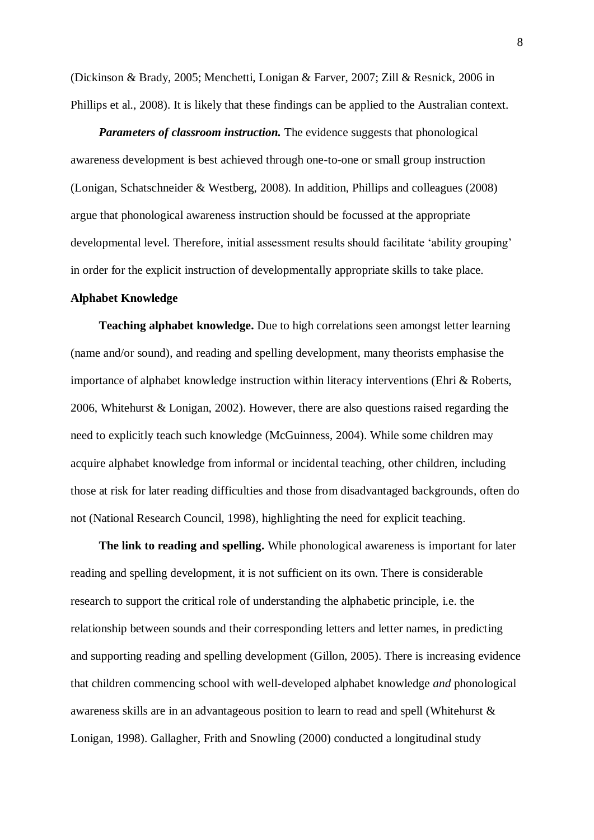(Dickinson & Brady, 2005; Menchetti, Lonigan & Farver, 2007; Zill & Resnick, 2006 in Phillips et al., 2008). It is likely that these findings can be applied to the Australian context.

*Parameters of classroom instruction.* The evidence suggests that phonological awareness development is best achieved through one-to-one or small group instruction (Lonigan, Schatschneider & Westberg, 2008). In addition, Phillips and colleagues (2008) argue that phonological awareness instruction should be focussed at the appropriate developmental level. Therefore, initial assessment results should facilitate 'ability grouping' in order for the explicit instruction of developmentally appropriate skills to take place.

# **Alphabet Knowledge**

**Teaching alphabet knowledge.** Due to high correlations seen amongst letter learning (name and/or sound), and reading and spelling development, many theorists emphasise the importance of alphabet knowledge instruction within literacy interventions (Ehri & Roberts, 2006, Whitehurst & Lonigan, 2002). However, there are also questions raised regarding the need to explicitly teach such knowledge (McGuinness, 2004). While some children may acquire alphabet knowledge from informal or incidental teaching, other children, including those at risk for later reading difficulties and those from disadvantaged backgrounds, often do not (National Research Council, 1998), highlighting the need for explicit teaching.

**The link to reading and spelling.** While phonological awareness is important for later reading and spelling development, it is not sufficient on its own. There is considerable research to support the critical role of understanding the alphabetic principle, i.e. the relationship between sounds and their corresponding letters and letter names, in predicting and supporting reading and spelling development (Gillon, 2005). There is increasing evidence that children commencing school with well-developed alphabet knowledge *and* phonological awareness skills are in an advantageous position to learn to read and spell (Whitehurst & Lonigan, 1998). Gallagher, Frith and Snowling (2000) conducted a longitudinal study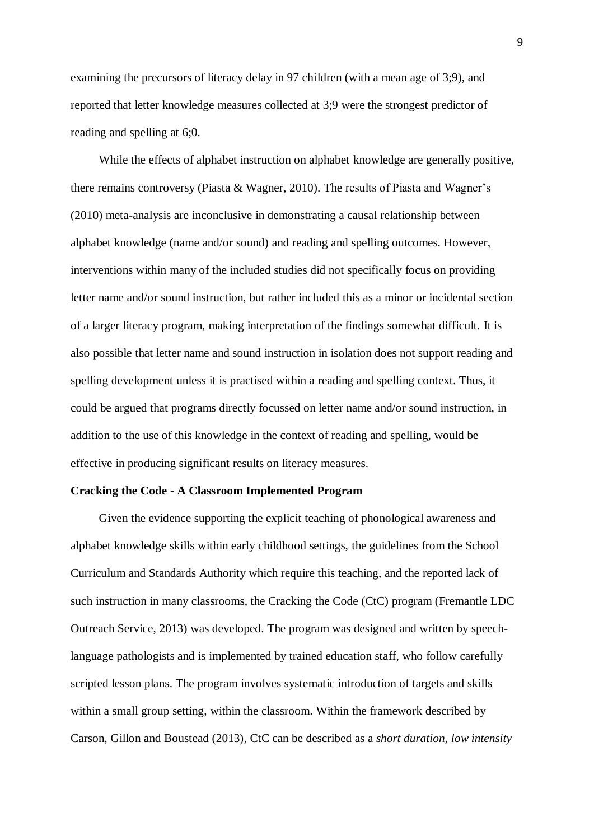examining the precursors of literacy delay in 97 children (with a mean age of 3;9), and reported that letter knowledge measures collected at 3;9 were the strongest predictor of reading and spelling at 6;0.

While the effects of alphabet instruction on alphabet knowledge are generally positive, there remains controversy (Piasta & Wagner, 2010). The results of Piasta and Wagner's (2010) meta-analysis are inconclusive in demonstrating a causal relationship between alphabet knowledge (name and/or sound) and reading and spelling outcomes. However, interventions within many of the included studies did not specifically focus on providing letter name and/or sound instruction, but rather included this as a minor or incidental section of a larger literacy program, making interpretation of the findings somewhat difficult. It is also possible that letter name and sound instruction in isolation does not support reading and spelling development unless it is practised within a reading and spelling context. Thus, it could be argued that programs directly focussed on letter name and/or sound instruction, in addition to the use of this knowledge in the context of reading and spelling, would be effective in producing significant results on literacy measures.

### **Cracking the Code - A Classroom Implemented Program**

Given the evidence supporting the explicit teaching of phonological awareness and alphabet knowledge skills within early childhood settings, the guidelines from the School Curriculum and Standards Authority which require this teaching, and the reported lack of such instruction in many classrooms, the Cracking the Code (CtC) program (Fremantle LDC Outreach Service, 2013) was developed. The program was designed and written by speechlanguage pathologists and is implemented by trained education staff, who follow carefully scripted lesson plans. The program involves systematic introduction of targets and skills within a small group setting, within the classroom. Within the framework described by Carson, Gillon and Boustead (2013), CtC can be described as a *short duration, low intensity*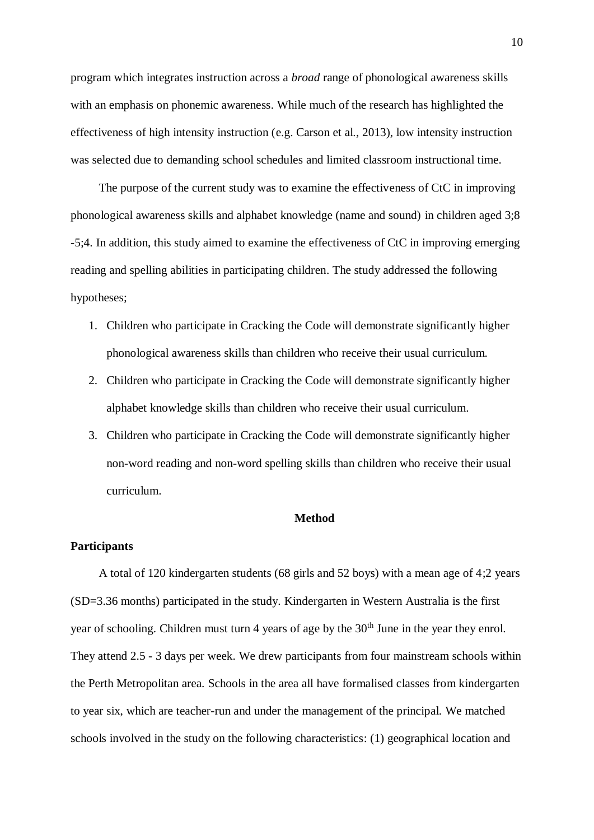program which integrates instruction across a *broad* range of phonological awareness skills with an emphasis on phonemic awareness. While much of the research has highlighted the effectiveness of high intensity instruction (e.g. Carson et al., 2013), low intensity instruction was selected due to demanding school schedules and limited classroom instructional time.

The purpose of the current study was to examine the effectiveness of CtC in improving phonological awareness skills and alphabet knowledge (name and sound) in children aged 3;8 -5;4. In addition, this study aimed to examine the effectiveness of CtC in improving emerging reading and spelling abilities in participating children. The study addressed the following hypotheses;

- 1. Children who participate in Cracking the Code will demonstrate significantly higher phonological awareness skills than children who receive their usual curriculum.
- 2. Children who participate in Cracking the Code will demonstrate significantly higher alphabet knowledge skills than children who receive their usual curriculum.
- 3. Children who participate in Cracking the Code will demonstrate significantly higher non-word reading and non-word spelling skills than children who receive their usual curriculum.

## **Method**

## **Participants**

A total of 120 kindergarten students (68 girls and 52 boys) with a mean age of 4;2 years (SD=3.36 months) participated in the study. Kindergarten in Western Australia is the first year of schooling. Children must turn 4 years of age by the 30<sup>th</sup> June in the year they enrol. They attend 2.5 - 3 days per week. We drew participants from four mainstream schools within the Perth Metropolitan area. Schools in the area all have formalised classes from kindergarten to year six, which are teacher-run and under the management of the principal. We matched schools involved in the study on the following characteristics: (1) geographical location and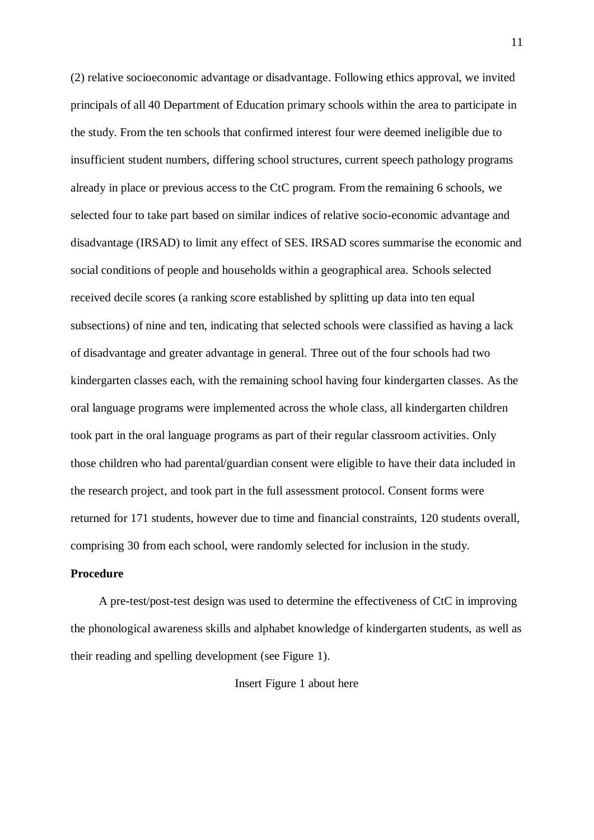(2) relative socioeconomic advantage or disadvantage. Following ethics approval, we invited principals of all 40 Department of Education primary schools within the area to participate in the study. From the ten schools that confirmed interest four were deemed ineligible due to insufficient student numbers, differing school structures, current speech pathology programs already in place or previous access to the CtC program. From the remaining 6 schools, we selected four to take part based on similar indices of relative socio-economic advantage and disadvantage (IRSAD) to limit any effect of SES. IRSAD scores summarise the economic and social conditions of people and households within a geographical area. Schools selected received decile scores (a ranking score established by splitting up data into ten equal subsections) of nine and ten, indicating that selected schools were classified as having a lack of disadvantage and greater advantage in general. Three out of the four schools had two kindergarten classes each, with the remaining school having four kindergarten classes. As the oral language programs were implemented across the whole class, all kindergarten children took part in the oral language programs as part of their regular classroom activities. Only those children who had parental/guardian consent were eligible to have their data included in the research project, and took part in the full assessment protocol. Consent forms were returned for 171 students, however due to time and financial constraints, 120 students overall, comprising 30 from each school, were randomly selected for inclusion in the study.

## **Procedure**

A pre-test/post-test design was used to determine the effectiveness of CtC in improving the phonological awareness skills and alphabet knowledge of kindergarten students, as well as their reading and spelling development (see Figure 1).

#### Insert Figure 1 about here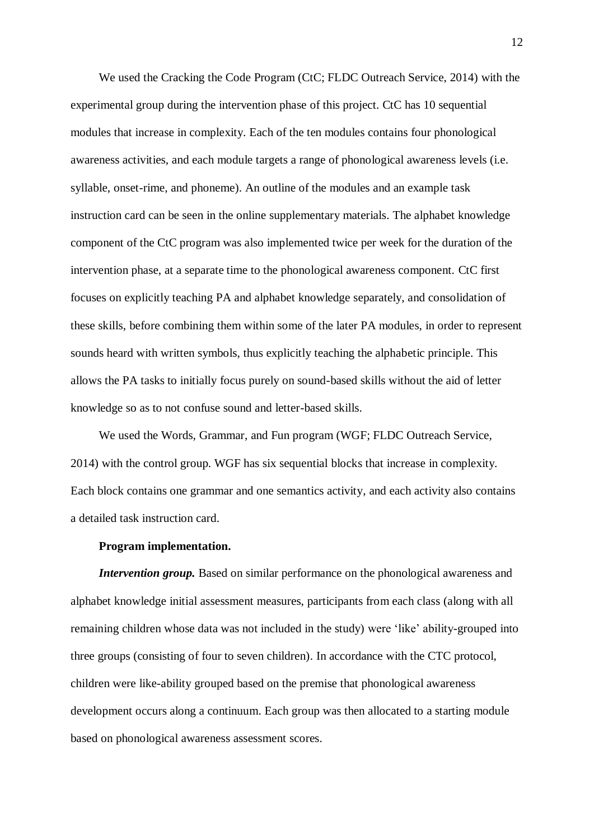We used the Cracking the Code Program (CtC; FLDC Outreach Service, 2014) with the experimental group during the intervention phase of this project. CtC has 10 sequential modules that increase in complexity. Each of the ten modules contains four phonological awareness activities, and each module targets a range of phonological awareness levels (i.e. syllable, onset-rime, and phoneme). An outline of the modules and an example task instruction card can be seen in the online supplementary materials. The alphabet knowledge component of the CtC program was also implemented twice per week for the duration of the intervention phase, at a separate time to the phonological awareness component. CtC first focuses on explicitly teaching PA and alphabet knowledge separately, and consolidation of these skills, before combining them within some of the later PA modules, in order to represent sounds heard with written symbols, thus explicitly teaching the alphabetic principle. This allows the PA tasks to initially focus purely on sound-based skills without the aid of letter knowledge so as to not confuse sound and letter-based skills.

We used the Words, Grammar, and Fun program (WGF; FLDC Outreach Service, 2014) with the control group. WGF has six sequential blocks that increase in complexity. Each block contains one grammar and one semantics activity, and each activity also contains a detailed task instruction card.

### **Program implementation.**

*Intervention group.* Based on similar performance on the phonological awareness and alphabet knowledge initial assessment measures, participants from each class (along with all remaining children whose data was not included in the study) were 'like' ability-grouped into three groups (consisting of four to seven children). In accordance with the CTC protocol, children were like-ability grouped based on the premise that phonological awareness development occurs along a continuum. Each group was then allocated to a starting module based on phonological awareness assessment scores.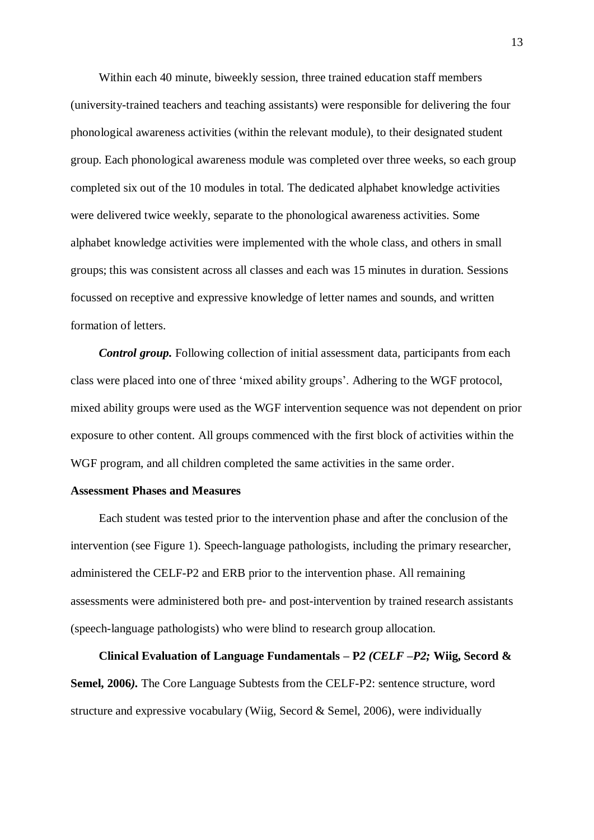Within each 40 minute, biweekly session, three trained education staff members (university-trained teachers and teaching assistants) were responsible for delivering the four phonological awareness activities (within the relevant module), to their designated student group. Each phonological awareness module was completed over three weeks, so each group completed six out of the 10 modules in total. The dedicated alphabet knowledge activities were delivered twice weekly, separate to the phonological awareness activities. Some alphabet knowledge activities were implemented with the whole class, and others in small groups; this was consistent across all classes and each was 15 minutes in duration. Sessions focussed on receptive and expressive knowledge of letter names and sounds, and written formation of letters.

*Control group.* Following collection of initial assessment data, participants from each class were placed into one of three 'mixed ability groups'. Adhering to the WGF protocol, mixed ability groups were used as the WGF intervention sequence was not dependent on prior exposure to other content. All groups commenced with the first block of activities within the WGF program, and all children completed the same activities in the same order.

## **Assessment Phases and Measures**

Each student was tested prior to the intervention phase and after the conclusion of the intervention (see Figure 1). Speech-language pathologists, including the primary researcher, administered the CELF-P2 and ERB prior to the intervention phase. All remaining assessments were administered both pre- and post-intervention by trained research assistants (speech-language pathologists) who were blind to research group allocation.

**Clinical Evaluation of Language Fundamentals – P***2 (CELF –P2;* **Wiig, Secord & Semel, 2006***).* The Core Language Subtests from the CELF-P2: sentence structure, word structure and expressive vocabulary (Wiig, Secord & Semel, 2006), were individually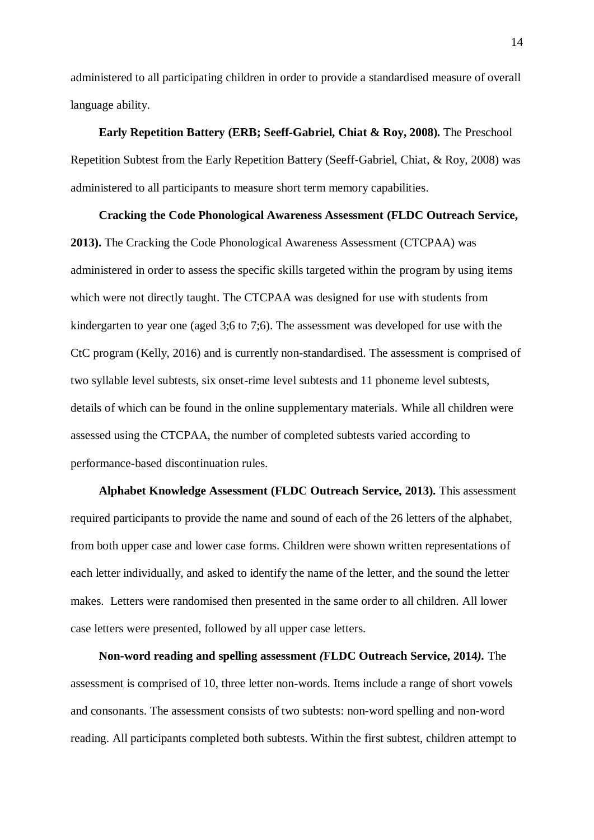administered to all participating children in order to provide a standardised measure of overall language ability.

**Early Repetition Battery (ERB; Seeff-Gabriel, Chiat & Roy, 2008)***.* The Preschool Repetition Subtest from the Early Repetition Battery (Seeff-Gabriel, Chiat, & Roy, 2008) was administered to all participants to measure short term memory capabilities.

**Cracking the Code Phonological Awareness Assessment (FLDC Outreach Service, 2013).** The Cracking the Code Phonological Awareness Assessment (CTCPAA) was administered in order to assess the specific skills targeted within the program by using items which were not directly taught. The CTCPAA was designed for use with students from kindergarten to year one (aged 3;6 to 7;6). The assessment was developed for use with the CtC program (Kelly, 2016) and is currently non-standardised. The assessment is comprised of two syllable level subtests, six onset-rime level subtests and 11 phoneme level subtests, details of which can be found in the online supplementary materials. While all children were assessed using the CTCPAA, the number of completed subtests varied according to performance-based discontinuation rules.

**Alphabet Knowledge Assessment (FLDC Outreach Service, 2013)***.* This assessment required participants to provide the name and sound of each of the 26 letters of the alphabet, from both upper case and lower case forms. Children were shown written representations of each letter individually, and asked to identify the name of the letter, and the sound the letter makes. Letters were randomised then presented in the same order to all children. All lower case letters were presented, followed by all upper case letters.

**Non-word reading and spelling assessment** *(***FLDC Outreach Service, 2014***).* The assessment is comprised of 10, three letter non-words. Items include a range of short vowels and consonants. The assessment consists of two subtests: non-word spelling and non-word reading. All participants completed both subtests. Within the first subtest, children attempt to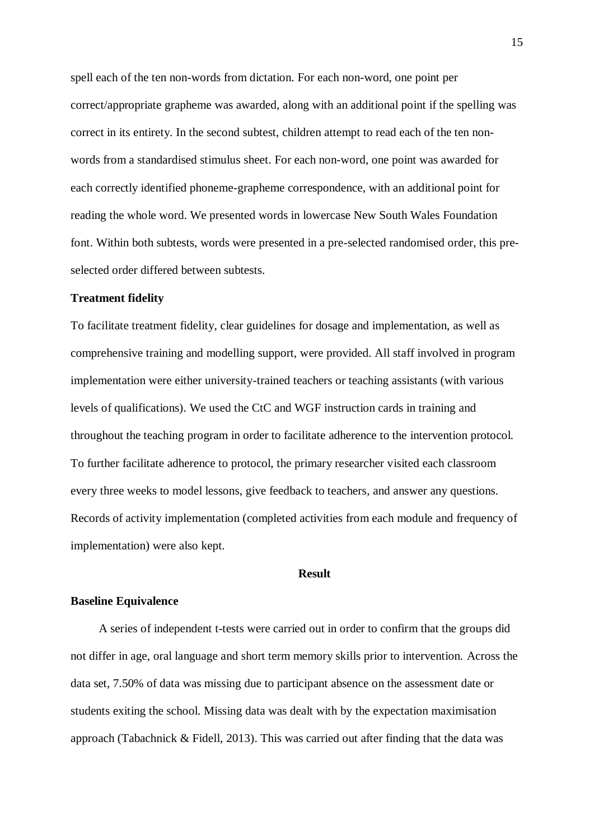spell each of the ten non-words from dictation. For each non-word, one point per correct/appropriate grapheme was awarded, along with an additional point if the spelling was correct in its entirety. In the second subtest, children attempt to read each of the ten nonwords from a standardised stimulus sheet. For each non-word, one point was awarded for each correctly identified phoneme-grapheme correspondence, with an additional point for reading the whole word. We presented words in lowercase New South Wales Foundation font. Within both subtests, words were presented in a pre-selected randomised order, this preselected order differed between subtests.

## **Treatment fidelity**

To facilitate treatment fidelity, clear guidelines for dosage and implementation, as well as comprehensive training and modelling support, were provided. All staff involved in program implementation were either university-trained teachers or teaching assistants (with various levels of qualifications). We used the CtC and WGF instruction cards in training and throughout the teaching program in order to facilitate adherence to the intervention protocol. To further facilitate adherence to protocol, the primary researcher visited each classroom every three weeks to model lessons, give feedback to teachers, and answer any questions. Records of activity implementation (completed activities from each module and frequency of implementation) were also kept.

#### **Result**

### **Baseline Equivalence**

A series of independent t-tests were carried out in order to confirm that the groups did not differ in age, oral language and short term memory skills prior to intervention. Across the data set, 7.50% of data was missing due to participant absence on the assessment date or students exiting the school. Missing data was dealt with by the expectation maximisation approach (Tabachnick & Fidell, 2013). This was carried out after finding that the data was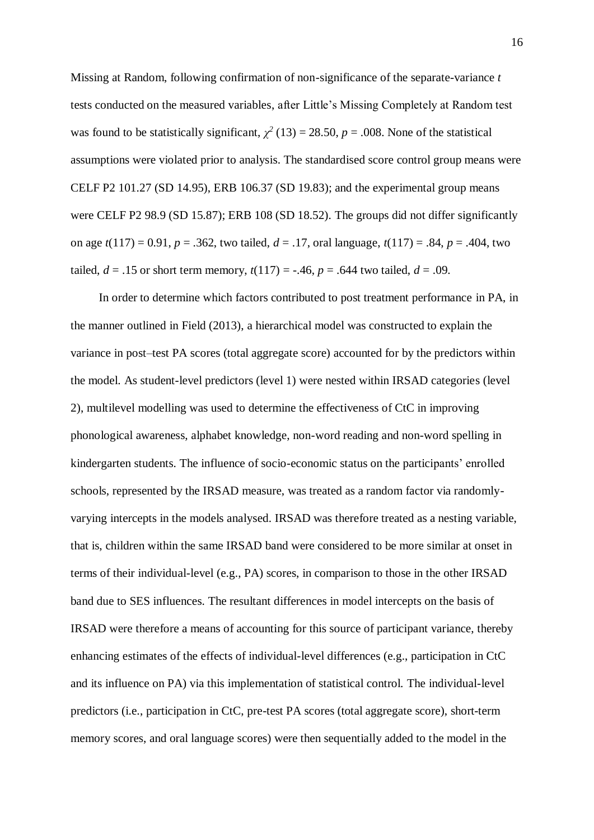Missing at Random, following confirmation of non-significance of the separate-variance *t* tests conducted on the measured variables, after Little's Missing Completely at Random test was found to be statistically significant,  $\chi^2$  (13) = 28.50, *p* = .008. None of the statistical assumptions were violated prior to analysis. The standardised score control group means were CELF P2 101.27 (SD 14.95), ERB 106.37 (SD 19.83); and the experimental group means were CELF P2 98.9 (SD 15.87); ERB 108 (SD 18.52). The groups did not differ significantly on age *t*(117) = 0.91, *p* = .362, two tailed, *d* = .17, oral language, *t*(117) = .84, *p* = .404, two tailed,  $d = .15$  or short term memory,  $t(117) = -.46$ ,  $p = .644$  two tailed,  $d = .09$ .

In order to determine which factors contributed to post treatment performance in PA, in the manner outlined in Field (2013), a hierarchical model was constructed to explain the variance in post–test PA scores (total aggregate score) accounted for by the predictors within the model. As student-level predictors (level 1) were nested within IRSAD categories (level 2), multilevel modelling was used to determine the effectiveness of CtC in improving phonological awareness, alphabet knowledge, non-word reading and non-word spelling in kindergarten students. The influence of socio-economic status on the participants' enrolled schools, represented by the IRSAD measure, was treated as a random factor via randomlyvarying intercepts in the models analysed. IRSAD was therefore treated as a nesting variable, that is, children within the same IRSAD band were considered to be more similar at onset in terms of their individual-level (e.g., PA) scores, in comparison to those in the other IRSAD band due to SES influences. The resultant differences in model intercepts on the basis of IRSAD were therefore a means of accounting for this source of participant variance, thereby enhancing estimates of the effects of individual-level differences (e.g., participation in CtC and its influence on PA) via this implementation of statistical control. The individual-level predictors (i.e., participation in CtC, pre-test PA scores (total aggregate score), short-term memory scores, and oral language scores) were then sequentially added to the model in the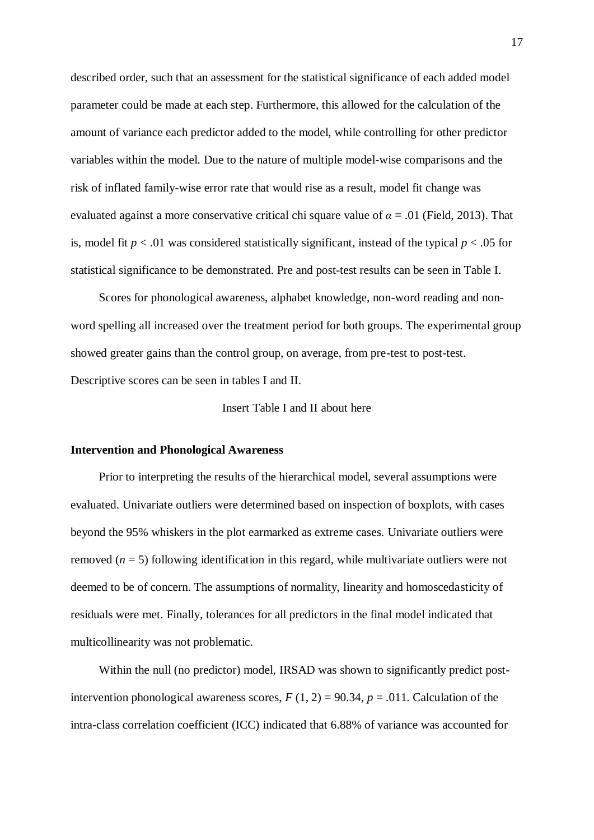described order, such that an assessment for the statistical significance of each added model parameter could be made at each step. Furthermore, this allowed for the calculation of the amount of variance each predictor added to the model, while controlling for other predictor variables within the model. Due to the nature of multiple model-wise comparisons and the risk of inflated family-wise error rate that would rise as a result, model fit change was evaluated against a more conservative critical chi square value of *α* = .01 (Field, 2013). That is, model fit  $p < 0.01$  was considered statistically significant, instead of the typical  $p < 0.05$  for statistical significance to be demonstrated. Pre and post-test results can be seen in Table I.

Scores for phonological awareness, alphabet knowledge, non-word reading and nonword spelling all increased over the treatment period for both groups. The experimental group showed greater gains than the control group, on average, from pre-test to post-test. Descriptive scores can be seen in tables I and II.

Insert Table I and II about here

#### **Intervention and Phonological Awareness**

Prior to interpreting the results of the hierarchical model, several assumptions were evaluated. Univariate outliers were determined based on inspection of boxplots, with cases beyond the 95% whiskers in the plot earmarked as extreme cases. Univariate outliers were removed (*n* = 5) following identification in this regard, while multivariate outliers were not deemed to be of concern. The assumptions of normality, linearity and homoscedasticity of residuals were met. Finally, tolerances for all predictors in the final model indicated that multicollinearity was not problematic.

Within the null (no predictor) model, IRSAD was shown to significantly predict postintervention phonological awareness scores,  $F(1, 2) = 90.34$ ,  $p = .011$ . Calculation of the intra-class correlation coefficient (ICC) indicated that 6.88% of variance was accounted for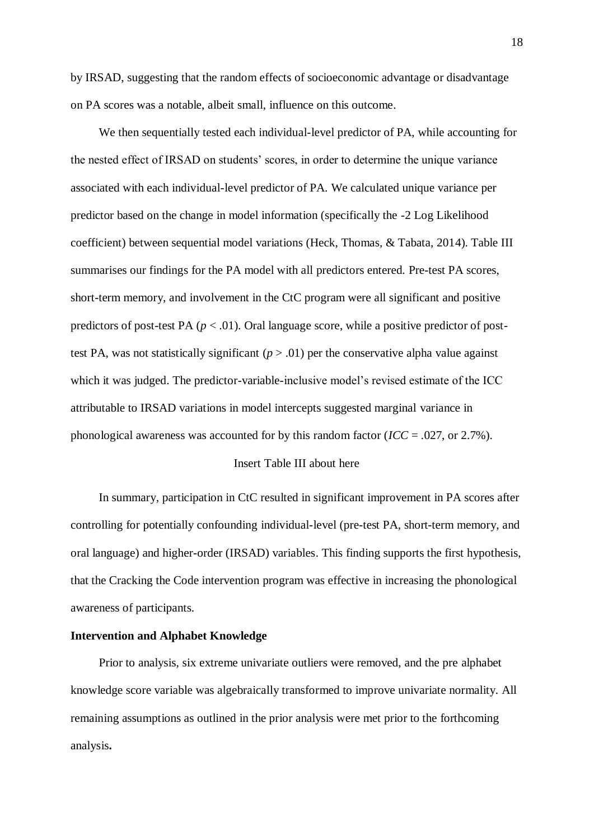by IRSAD, suggesting that the random effects of socioeconomic advantage or disadvantage on PA scores was a notable, albeit small, influence on this outcome.

We then sequentially tested each individual-level predictor of PA, while accounting for the nested effect of IRSAD on students' scores, in order to determine the unique variance associated with each individual-level predictor of PA. We calculated unique variance per predictor based on the change in model information (specifically the -2 Log Likelihood coefficient) between sequential model variations (Heck, Thomas, & Tabata, 2014). Table III summarises our findings for the PA model with all predictors entered. Pre-test PA scores, short-term memory, and involvement in the CtC program were all significant and positive predictors of post-test PA  $(p < .01)$ . Oral language score, while a positive predictor of posttest PA, was not statistically significant  $(p > .01)$  per the conservative alpha value against which it was judged. The predictor-variable-inclusive model's revised estimate of the ICC attributable to IRSAD variations in model intercepts suggested marginal variance in phonological awareness was accounted for by this random factor ( $\textit{ICC} = .027$ , or 2.7%).

## Insert Table III about here

In summary, participation in CtC resulted in significant improvement in PA scores after controlling for potentially confounding individual-level (pre-test PA, short-term memory, and oral language) and higher-order (IRSAD) variables. This finding supports the first hypothesis, that the Cracking the Code intervention program was effective in increasing the phonological awareness of participants.

### **Intervention and Alphabet Knowledge**

Prior to analysis, six extreme univariate outliers were removed, and the pre alphabet knowledge score variable was algebraically transformed to improve univariate normality. All remaining assumptions as outlined in the prior analysis were met prior to the forthcoming analysis**.**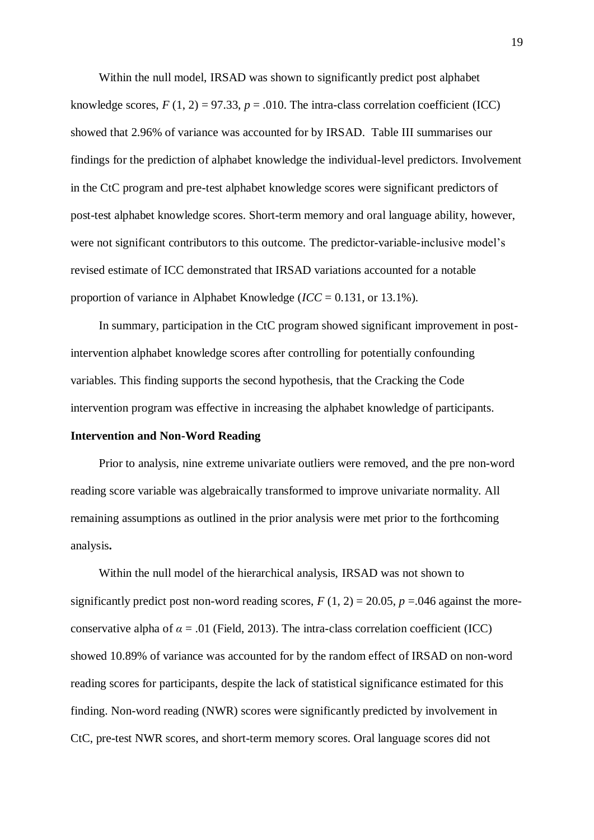Within the null model, IRSAD was shown to significantly predict post alphabet knowledge scores,  $F(1, 2) = 97.33$ ,  $p = .010$ . The intra-class correlation coefficient (ICC) showed that 2.96% of variance was accounted for by IRSAD. Table III summarises our findings for the prediction of alphabet knowledge the individual-level predictors. Involvement in the CtC program and pre-test alphabet knowledge scores were significant predictors of post-test alphabet knowledge scores. Short-term memory and oral language ability, however, were not significant contributors to this outcome. The predictor-variable-inclusive model's revised estimate of ICC demonstrated that IRSAD variations accounted for a notable proportion of variance in Alphabet Knowledge (*ICC* = 0.131, or 13.1%).

In summary, participation in the CtC program showed significant improvement in postintervention alphabet knowledge scores after controlling for potentially confounding variables. This finding supports the second hypothesis, that the Cracking the Code intervention program was effective in increasing the alphabet knowledge of participants.

## **Intervention and Non-Word Reading**

Prior to analysis, nine extreme univariate outliers were removed, and the pre non-word reading score variable was algebraically transformed to improve univariate normality. All remaining assumptions as outlined in the prior analysis were met prior to the forthcoming analysis**.** 

Within the null model of the hierarchical analysis, IRSAD was not shown to significantly predict post non-word reading scores,  $F(1, 2) = 20.05$ ,  $p = 0.046$  against the moreconservative alpha of  $\alpha = .01$  (Field, 2013). The intra-class correlation coefficient (ICC) showed 10.89% of variance was accounted for by the random effect of IRSAD on non-word reading scores for participants, despite the lack of statistical significance estimated for this finding. Non-word reading (NWR) scores were significantly predicted by involvement in CtC, pre-test NWR scores, and short-term memory scores. Oral language scores did not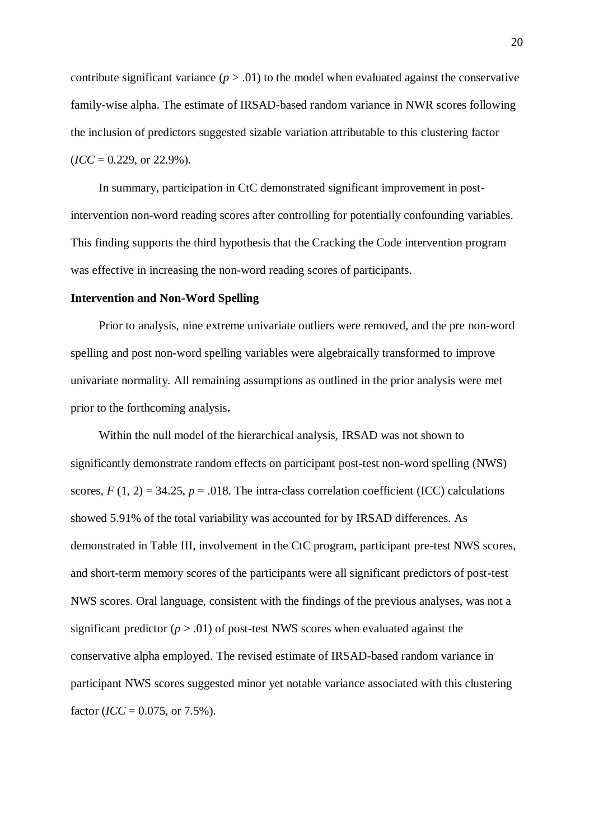contribute significant variance  $(p > .01)$  to the model when evaluated against the conservative family-wise alpha. The estimate of IRSAD-based random variance in NWR scores following the inclusion of predictors suggested sizable variation attributable to this clustering factor  $$ 

In summary, participation in CtC demonstrated significant improvement in postintervention non-word reading scores after controlling for potentially confounding variables. This finding supports the third hypothesis that the Cracking the Code intervention program was effective in increasing the non-word reading scores of participants.

#### **Intervention and Non-Word Spelling**

Prior to analysis, nine extreme univariate outliers were removed, and the pre non-word spelling and post non-word spelling variables were algebraically transformed to improve univariate normality. All remaining assumptions as outlined in the prior analysis were met prior to the forthcoming analysis**.** 

Within the null model of the hierarchical analysis, IRSAD was not shown to significantly demonstrate random effects on participant post-test non-word spelling (NWS) scores,  $F(1, 2) = 34.25$ ,  $p = .018$ . The intra-class correlation coefficient (ICC) calculations showed 5.91% of the total variability was accounted for by IRSAD differences. As demonstrated in Table III, involvement in the CtC program, participant pre-test NWS scores, and short-term memory scores of the participants were all significant predictors of post-test NWS scores. Oral language, consistent with the findings of the previous analyses, was not a significant predictor  $(p > .01)$  of post-test NWS scores when evaluated against the conservative alpha employed. The revised estimate of IRSAD-based random variance in participant NWS scores suggested minor yet notable variance associated with this clustering factor ( $\text{ICC} = 0.075$ , or 7.5%).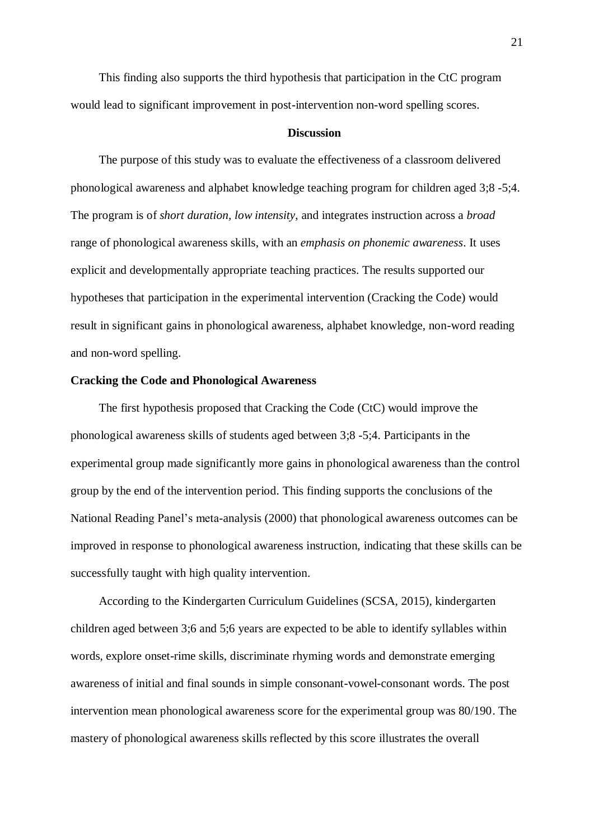This finding also supports the third hypothesis that participation in the CtC program would lead to significant improvement in post-intervention non-word spelling scores.

#### **Discussion**

The purpose of this study was to evaluate the effectiveness of a classroom delivered phonological awareness and alphabet knowledge teaching program for children aged 3;8 -5;4. The program is of *short duration, low intensity*, and integrates instruction across a *broad* range of phonological awareness skills, with an *emphasis on phonemic awareness*. It uses explicit and developmentally appropriate teaching practices. The results supported our hypotheses that participation in the experimental intervention (Cracking the Code) would result in significant gains in phonological awareness, alphabet knowledge, non-word reading and non-word spelling.

## **Cracking the Code and Phonological Awareness**

The first hypothesis proposed that Cracking the Code (CtC) would improve the phonological awareness skills of students aged between 3;8 -5;4. Participants in the experimental group made significantly more gains in phonological awareness than the control group by the end of the intervention period. This finding supports the conclusions of the National Reading Panel's meta-analysis (2000) that phonological awareness outcomes can be improved in response to phonological awareness instruction, indicating that these skills can be successfully taught with high quality intervention.

According to the Kindergarten Curriculum Guidelines (SCSA, 2015), kindergarten children aged between 3;6 and 5;6 years are expected to be able to identify syllables within words, explore onset-rime skills, discriminate rhyming words and demonstrate emerging awareness of initial and final sounds in simple consonant-vowel-consonant words. The post intervention mean phonological awareness score for the experimental group was 80/190. The mastery of phonological awareness skills reflected by this score illustrates the overall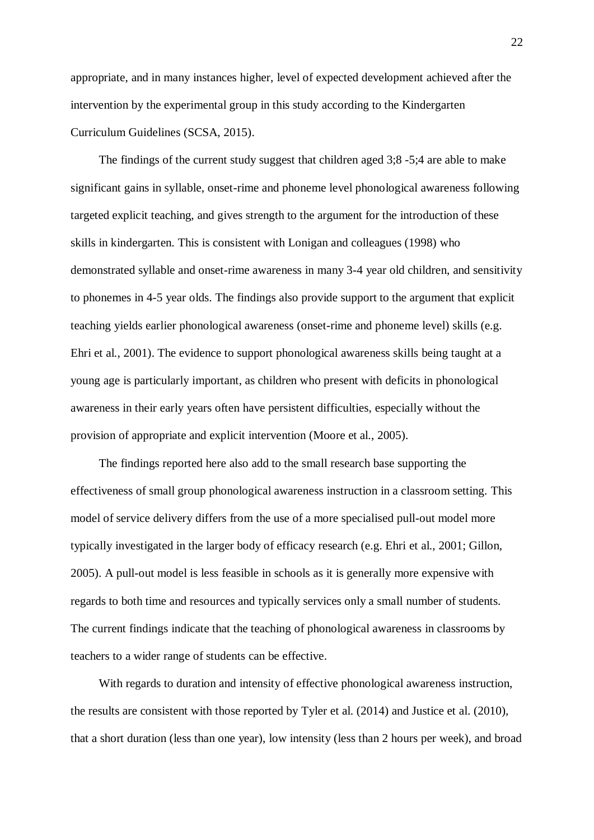appropriate, and in many instances higher, level of expected development achieved after the intervention by the experimental group in this study according to the Kindergarten Curriculum Guidelines (SCSA, 2015).

The findings of the current study suggest that children aged 3;8 -5;4 are able to make significant gains in syllable, onset-rime and phoneme level phonological awareness following targeted explicit teaching, and gives strength to the argument for the introduction of these skills in kindergarten. This is consistent with Lonigan and colleagues (1998) who demonstrated syllable and onset-rime awareness in many 3-4 year old children, and sensitivity to phonemes in 4-5 year olds. The findings also provide support to the argument that explicit teaching yields earlier phonological awareness (onset-rime and phoneme level) skills (e.g. Ehri et al., 2001). The evidence to support phonological awareness skills being taught at a young age is particularly important, as children who present with deficits in phonological awareness in their early years often have persistent difficulties, especially without the provision of appropriate and explicit intervention (Moore et al., 2005).

The findings reported here also add to the small research base supporting the effectiveness of small group phonological awareness instruction in a classroom setting. This model of service delivery differs from the use of a more specialised pull-out model more typically investigated in the larger body of efficacy research (e.g. Ehri et al., 2001; Gillon, 2005). A pull-out model is less feasible in schools as it is generally more expensive with regards to both time and resources and typically services only a small number of students. The current findings indicate that the teaching of phonological awareness in classrooms by teachers to a wider range of students can be effective.

With regards to duration and intensity of effective phonological awareness instruction, the results are consistent with those reported by Tyler et al. (2014) and Justice et al. (2010), that a short duration (less than one year), low intensity (less than 2 hours per week), and broad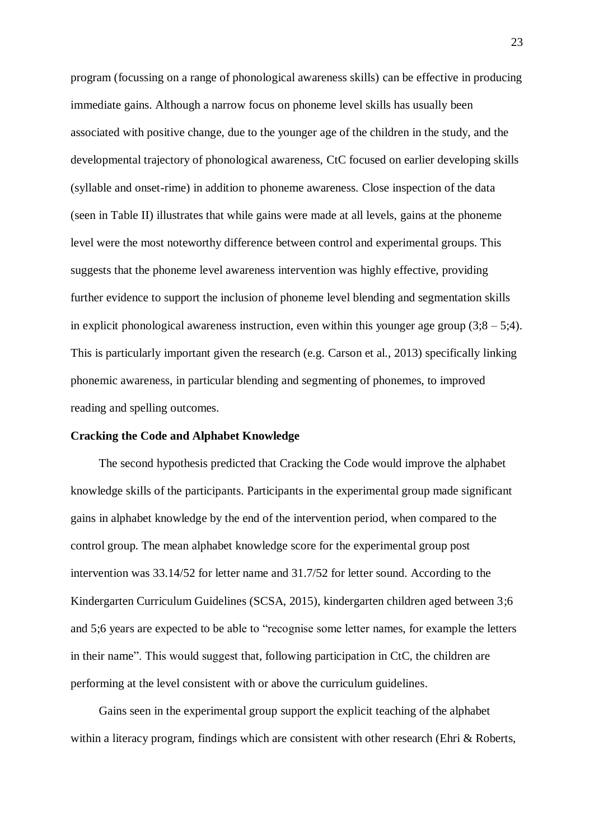program (focussing on a range of phonological awareness skills) can be effective in producing immediate gains. Although a narrow focus on phoneme level skills has usually been associated with positive change, due to the younger age of the children in the study, and the developmental trajectory of phonological awareness, CtC focused on earlier developing skills (syllable and onset-rime) in addition to phoneme awareness. Close inspection of the data (seen in Table II) illustrates that while gains were made at all levels, gains at the phoneme level were the most noteworthy difference between control and experimental groups. This suggests that the phoneme level awareness intervention was highly effective, providing further evidence to support the inclusion of phoneme level blending and segmentation skills in explicit phonological awareness instruction, even within this younger age group  $(3,8 - 5,4)$ . This is particularly important given the research (e.g. Carson et al., 2013) specifically linking phonemic awareness, in particular blending and segmenting of phonemes, to improved reading and spelling outcomes.

## **Cracking the Code and Alphabet Knowledge**

The second hypothesis predicted that Cracking the Code would improve the alphabet knowledge skills of the participants. Participants in the experimental group made significant gains in alphabet knowledge by the end of the intervention period, when compared to the control group. The mean alphabet knowledge score for the experimental group post intervention was 33.14/52 for letter name and 31.7/52 for letter sound. According to the Kindergarten Curriculum Guidelines (SCSA, 2015), kindergarten children aged between 3;6 and 5;6 years are expected to be able to "recognise some letter names, for example the letters in their name". This would suggest that, following participation in CtC, the children are performing at the level consistent with or above the curriculum guidelines.

Gains seen in the experimental group support the explicit teaching of the alphabet within a literacy program, findings which are consistent with other research (Ehri & Roberts,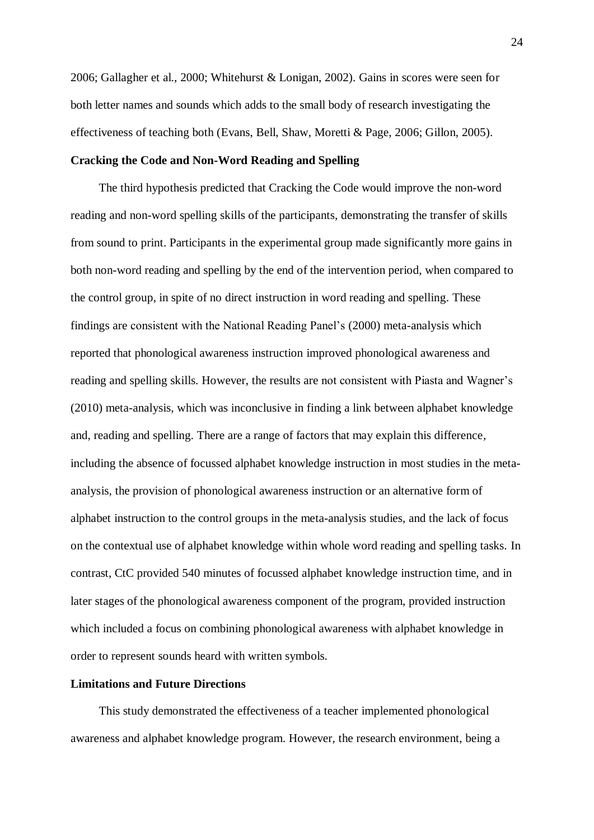2006; Gallagher et al., 2000; Whitehurst & Lonigan, 2002). Gains in scores were seen for both letter names and sounds which adds to the small body of research investigating the effectiveness of teaching both (Evans, Bell, Shaw, Moretti & Page, 2006; Gillon, 2005).

# **Cracking the Code and Non-Word Reading and Spelling**

The third hypothesis predicted that Cracking the Code would improve the non-word reading and non-word spelling skills of the participants, demonstrating the transfer of skills from sound to print. Participants in the experimental group made significantly more gains in both non-word reading and spelling by the end of the intervention period, when compared to the control group, in spite of no direct instruction in word reading and spelling. These findings are consistent with the National Reading Panel's (2000) meta-analysis which reported that phonological awareness instruction improved phonological awareness and reading and spelling skills. However, the results are not consistent with Piasta and Wagner's (2010) meta-analysis, which was inconclusive in finding a link between alphabet knowledge and, reading and spelling. There are a range of factors that may explain this difference, including the absence of focussed alphabet knowledge instruction in most studies in the metaanalysis, the provision of phonological awareness instruction or an alternative form of alphabet instruction to the control groups in the meta-analysis studies, and the lack of focus on the contextual use of alphabet knowledge within whole word reading and spelling tasks. In contrast, CtC provided 540 minutes of focussed alphabet knowledge instruction time, and in later stages of the phonological awareness component of the program, provided instruction which included a focus on combining phonological awareness with alphabet knowledge in order to represent sounds heard with written symbols.

## **Limitations and Future Directions**

This study demonstrated the effectiveness of a teacher implemented phonological awareness and alphabet knowledge program. However, the research environment, being a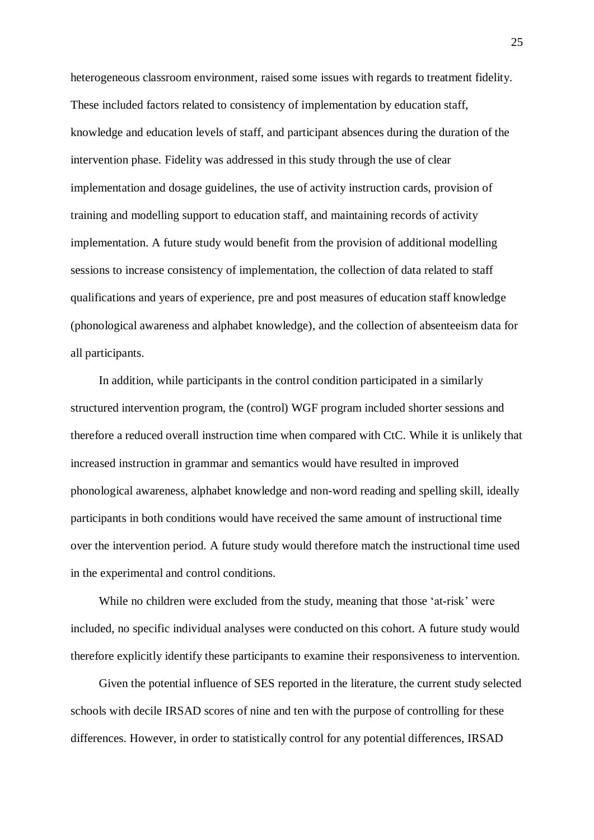heterogeneous classroom environment, raised some issues with regards to treatment fidelity. These included factors related to consistency of implementation by education staff, knowledge and education levels of staff, and participant absences during the duration of the intervention phase. Fidelity was addressed in this study through the use of clear implementation and dosage guidelines, the use of activity instruction cards, provision of training and modelling support to education staff, and maintaining records of activity implementation. A future study would benefit from the provision of additional modelling sessions to increase consistency of implementation, the collection of data related to staff qualifications and years of experience, pre and post measures of education staff knowledge (phonological awareness and alphabet knowledge), and the collection of absenteeism data for all participants.

In addition, while participants in the control condition participated in a similarly structured intervention program, the (control) WGF program included shorter sessions and therefore a reduced overall instruction time when compared with CtC. While it is unlikely that increased instruction in grammar and semantics would have resulted in improved phonological awareness, alphabet knowledge and non-word reading and spelling skill, ideally participants in both conditions would have received the same amount of instructional time over the intervention period. A future study would therefore match the instructional time used in the experimental and control conditions.

While no children were excluded from the study, meaning that those 'at-risk' were included, no specific individual analyses were conducted on this cohort. A future study would therefore explicitly identify these participants to examine their responsiveness to intervention.

Given the potential influence of SES reported in the literature, the current study selected schools with decile IRSAD scores of nine and ten with the purpose of controlling for these differences. However, in order to statistically control for any potential differences, IRSAD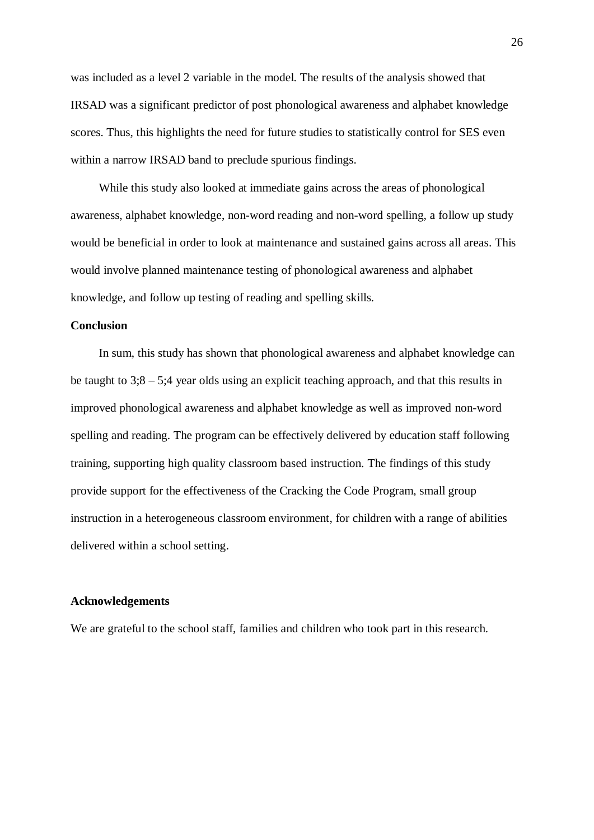was included as a level 2 variable in the model. The results of the analysis showed that IRSAD was a significant predictor of post phonological awareness and alphabet knowledge scores. Thus, this highlights the need for future studies to statistically control for SES even within a narrow IRSAD band to preclude spurious findings.

While this study also looked at immediate gains across the areas of phonological awareness, alphabet knowledge, non-word reading and non-word spelling, a follow up study would be beneficial in order to look at maintenance and sustained gains across all areas. This would involve planned maintenance testing of phonological awareness and alphabet knowledge, and follow up testing of reading and spelling skills.

## **Conclusion**

In sum, this study has shown that phonological awareness and alphabet knowledge can be taught to 3;8 – 5;4 year olds using an explicit teaching approach, and that this results in improved phonological awareness and alphabet knowledge as well as improved non-word spelling and reading. The program can be effectively delivered by education staff following training, supporting high quality classroom based instruction. The findings of this study provide support for the effectiveness of the Cracking the Code Program, small group instruction in a heterogeneous classroom environment, for children with a range of abilities delivered within a school setting.

### **Acknowledgements**

We are grateful to the school staff, families and children who took part in this research.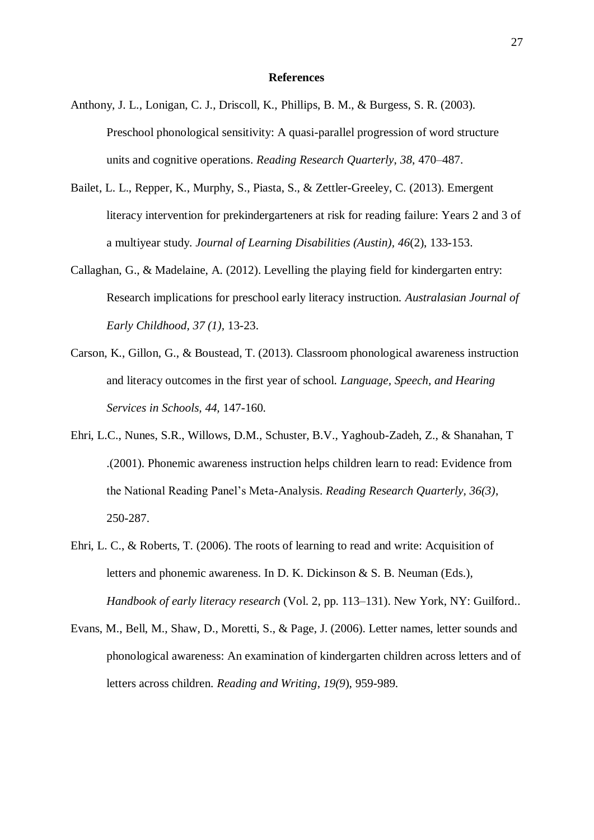#### **References**

- Anthony, J. L., Lonigan, C. J., Driscoll, K., Phillips, B. M., & Burgess, S. R. (2003). Preschool phonological sensitivity: A quasi-parallel progression of word structure units and cognitive operations. *Reading Research Quarterly*, *38*, 470–487.
- Bailet, L. L., Repper, K., Murphy, S., Piasta, S., & Zettler-Greeley, C. (2013). Emergent literacy intervention for prekindergarteners at risk for reading failure: Years 2 and 3 of a multiyear study. *Journal of Learning Disabilities (Austin), 46*(2), 133-153.
- Callaghan, G., & Madelaine, A. (2012). Levelling the playing field for kindergarten entry: Research implications for preschool early literacy instruction. *Australasian Journal of Early Childhood, 37 (1),* 13-23.
- Carson, K., Gillon, G., & Boustead, T. (2013). Classroom phonological awareness instruction and literacy outcomes in the first year of school. *Language, Speech, and Hearing Services in Schools, 44,* 147-160.
- Ehri, L.C., Nunes, S.R., Willows, D.M., Schuster, B.V., Yaghoub-Zadeh, Z., & Shanahan, T .(2001). Phonemic awareness instruction helps children learn to read: Evidence from the National Reading Panel's Meta-Analysis. *Reading Research Quarterly, 36(3)*, 250-287.
- Ehri, L. C., & Roberts, T. (2006). The roots of learning to read and write: Acquisition of letters and phonemic awareness. In D. K. Dickinson & S. B. Neuman (Eds.), *Handbook of early literacy research* (Vol. 2, pp. 113–131). New York, NY: Guilford..
- Evans, M., Bell, M., Shaw, D., Moretti, S., & Page, J. (2006). Letter names, letter sounds and phonological awareness: An examination of kindergarten children across letters and of letters across children. *Reading and Writing*, *19(9*), 959-989.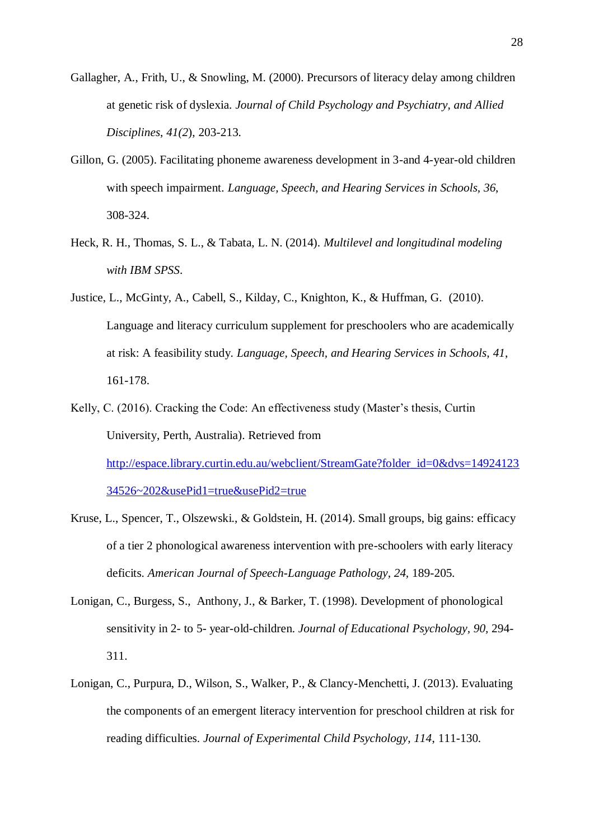- Gallagher, A., Frith, U., & Snowling, M. (2000). Precursors of literacy delay among children at genetic risk of dyslexia. *Journal of Child Psychology and Psychiatry, and Allied Disciplines*, *41(2*), 203-213.
- Gillon, G. (2005). Facilitating phoneme awareness development in 3-and 4-year-old children with speech impairment. *Language, Speech, and Hearing Services in Schools, 36*, 308-324.
- Heck, R. H., Thomas, S. L., & Tabata, L. N. (2014). *Multilevel and longitudinal modeling with IBM SPSS*.
- Justice, L., McGinty, A., Cabell, S., Kilday, C., Knighton, K., & Huffman, G. (2010). Language and literacy curriculum supplement for preschoolers who are academically at risk: A feasibility study. *Language, Speech, and Hearing Services in Schools, 41*, 161-178.
- Kelly, C. (2016). Cracking the Code: An effectiveness study (Master's thesis, Curtin University, Perth, Australia). Retrieved from [http://espace.library.curtin.edu.au/webclient/StreamGate?folder\\_id=0&dvs=14924123](http://espace.library.curtin.edu.au/webclient/StreamGate?folder_id=0&dvs=1492412334526~202&usePid1=true&usePid2=true) [34526~202&usePid1=true&usePid2=true](http://espace.library.curtin.edu.au/webclient/StreamGate?folder_id=0&dvs=1492412334526~202&usePid1=true&usePid2=true)
- Kruse, L., Spencer, T., Olszewski., & Goldstein, H. (2014). Small groups, big gains: efficacy of a tier 2 phonological awareness intervention with pre-schoolers with early literacy deficits. *American Journal of Speech-Language Pathology, 24,* 189-205.
- Lonigan, C., Burgess, S., Anthony, J., & Barker, T. (1998). Development of phonological sensitivity in 2- to 5- year-old-children. *Journal of Educational Psychology, 90,* 294- 311.
- Lonigan, C., Purpura, D., Wilson, S., Walker, P., & Clancy-Menchetti, J. (2013). Evaluating the components of an emergent literacy intervention for preschool children at risk for reading difficulties. *Journal of Experimental Child Psychology, 114*, 111-130.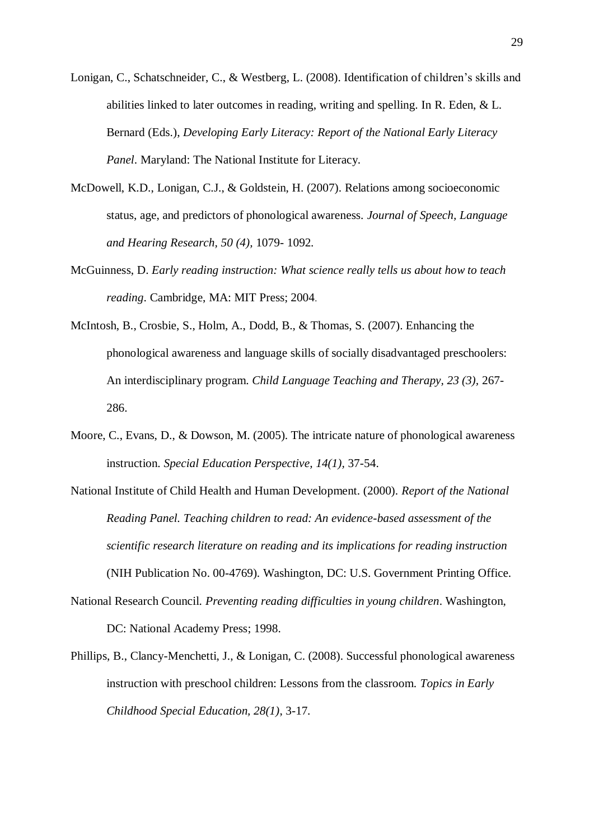- Lonigan, C., Schatschneider, C., & Westberg, L. (2008). Identification of children's skills and abilities linked to later outcomes in reading, writing and spelling. In R. Eden, & L. Bernard (Eds.), *Developing Early Literacy: Report of the National Early Literacy Panel*. Maryland: The National Institute for Literacy.
- McDowell, K.D., Lonigan, C.J., & Goldstein, H. (2007). Relations among socioeconomic status, age, and predictors of phonological awareness. *Journal of Speech, Language and Hearing Research, 50 (4),* 1079- 1092.
- McGuinness, D. *Early reading instruction: What science really tells us about how to teach reading*. Cambridge, MA: MIT Press; 2004.
- McIntosh, B., Crosbie, S., Holm, A., Dodd, B., & Thomas, S. (2007). Enhancing the phonological awareness and language skills of socially disadvantaged preschoolers: An interdisciplinary program. *Child Language Teaching and Therapy, 23 (3),* 267- 286.
- Moore, C., Evans, D., & Dowson, M. (2005). The intricate nature of phonological awareness instruction. *Special Education Perspective, 14(1),* 37-54.
- National Institute of Child Health and Human Development. (2000). *Report of the National Reading Panel. Teaching children to read: An evidence-based assessment of the scientific research literature on reading and its implications for reading instruction* (NIH Publication No. 00-4769). Washington, DC: U.S. Government Printing Office.
- National Research Council. *Preventing reading difficulties in young children*. Washington, DC: National Academy Press; 1998.
- Phillips, B., Clancy-Menchetti, J., & Lonigan, C. (2008). Successful phonological awareness instruction with preschool children: Lessons from the classroom. *Topics in Early Childhood Special Education, 28(1)*, 3-17.